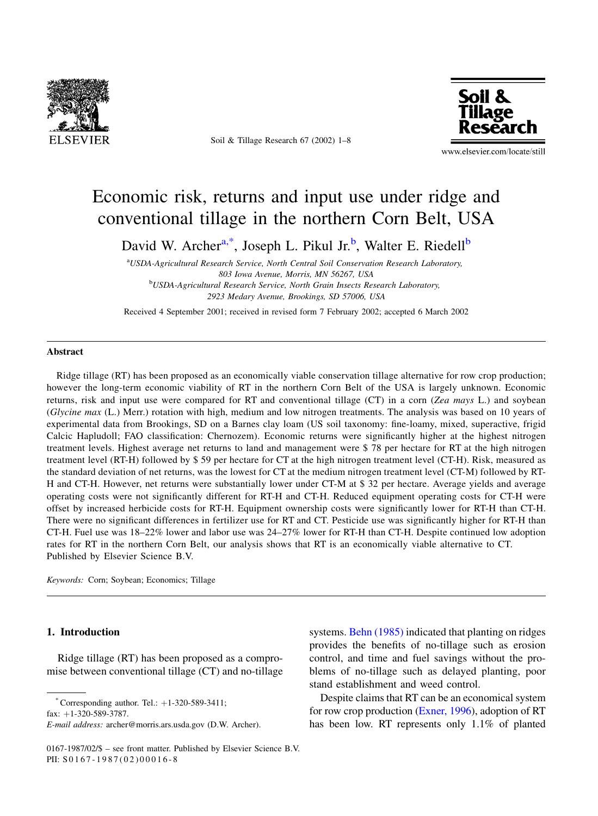

Soil & Tillage Research 67 (2002) 1-8



www.elsevier.com/locate/still

# Economic risk, returns and input use under ridge and conventional tillage in the northern Corn Belt, USA

David W. Archer<sup>a,\*</sup>, Joseph L. Pikul Jr.<sup>b</sup>, Walter E. Riedell<sup>b</sup>

aUSDA-Agricultural Research Service, North Central Soil Conservation Research Laboratory, 803 Iowa Avenue, Morris, MN 56267, USA <sup>b</sup>USDA-Agricultural Research Service, North Grain Insects Research Laboratory, 2923 Medary Avenue, Brookings, SD 57006, USA

Received 4 September 2001; received in revised form 7 February 2002; accepted 6 March 2002

#### **Abstract**

Ridge tillage (RT) has been proposed as an economically viable conservation tillage alternative for row crop production; however the long-term economic viability of RT in the northern Corn Belt of the USA is largely unknown. Economic returns, risk and input use were compared for RT and conventional tillage (CT) in a corn (Zea mays L.) and soybean (Glycine max (L.) Merr.) rotation with high, medium and low nitrogen treatments. The analysis was based on 10 years of experimental data from Brookings, SD on a Barnes clay loam (US soil taxonomy: fine-loamy, mixed, superactive, frigid Calcic Hapludoll; FAO classification: Chernozem). Economic returns were significantly higher at the highest nitrogen treatment levels. Highest average net returns to land and management were \$78 per hectare for RT at the high nitrogen treatment level (RT-H) followed by \$59 per hectare for CT at the high nitrogen treatment level (CT-H). Risk, measured as the standard deviation of net returns, was the lowest for CT at the medium nitrogen treatment level (CT-M) followed by RT-H and CT-H. However, net returns were substantially lower under CT-M at \$32 per hectare. Average yields and average operating costs were not significantly different for RT-H and CT-H. Reduced equipment operating costs for CT-H were offset by increased herbicide costs for RT-H. Equipment ownership costs were significantly lower for RT-H than CT-H. There were no significant differences in fertilizer use for RT and CT. Pesticide use was significantly higher for RT-H than CT-H. Fuel use was  $18-22\%$  lower and labor use was  $24-27\%$  lower for RT-H than CT-H. Despite continued low adoption rates for RT in the northern Corn Belt, our analysis shows that RT is an economically viable alternative to CT. Published by Elsevier Science B.V.

Keywords: Corn; Soybean; Economics; Tillage

### 1. Introduction

Ridge tillage (RT) has been proposed as a compromise between conventional tillage (CT) and no-tillage

Corresponding author. Tel.: +1-320-589-3411; fax:  $+1-320-589-3787$ .

systems. Behn (1985) indicated that planting on ridges provides the benefits of no-tillage such as erosion control, and time and fuel savings without the problems of no-tillage such as delayed planting, poor stand establishment and weed control.

Despite claims that RT can be an economical system for row crop production (Exner, 1996), adoption of RT has been low. RT represents only 1.1% of planted

E-mail address: archer@morris.ars.usda.gov (D.W. Archer).

<sup>0167-1987/02/\$ -</sup> see front matter. Published by Elsevier Science B.V. PII: S0167-1987(02)00016-8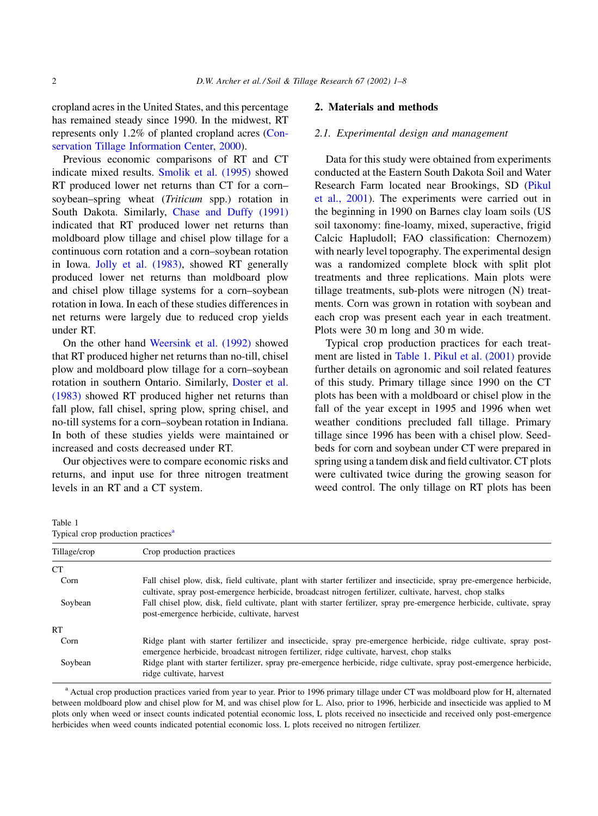cropland acres in the United States, and this percentage has remained steady since 1990. In the midwest, RT represents only 1.2% of planted cropland acres (Conservation Tillage Information Center, 2000).

Previous economic comparisons of RT and CT indicate mixed results. Smolik et al. (1995) showed RT produced lower net returns than CT for a cornsoybean-spring wheat (Triticum spp.) rotation in South Dakota. Similarly, Chase and Duffy (1991) indicated that RT produced lower net returns than moldboard plow tillage and chisel plow tillage for a continuous corn rotation and a corn-soybean rotation in Iowa. Jolly et al. (1983), showed RT generally produced lower net returns than moldboard plow and chisel plow tillage systems for a corn-soybean rotation in Iowa. In each of these studies differences in net returns were largely due to reduced crop yields under RT.

On the other hand Weersink et al. (1992) showed that RT produced higher net returns than no-till, chisel plow and moldboard plow tillage for a corn-soybean rotation in southern Ontario. Similarly, Doster et al. (1983) showed RT produced higher net returns than fall plow, fall chisel, spring plow, spring chisel, and no-till systems for a corn-soybean rotation in Indiana. In both of these studies yields were maintained or increased and costs decreased under RT.

Our objectives were to compare economic risks and returns, and input use for three nitrogen treatment levels in an RT and a CT system.

#### 2. Materials and methods

### 2.1. Experimental design and management

Data for this study were obtained from experiments conducted at the Eastern South Dakota Soil and Water Research Farm located near Brookings, SD (Pikul et al., 2001). The experiments were carried out in the beginning in 1990 on Barnes clay loam soils (US soil taxonomy: fine-loamy, mixed, superactive, frigid Calcic Hapludoll; FAO classification: Chernozem) with nearly level topography. The experimental design was a randomized complete block with split plot treatments and three replications. Main plots were tillage treatments, sub-plots were nitrogen (N) treatments. Corn was grown in rotation with soybean and each crop was present each year in each treatment. Plots were 30 m long and 30 m wide.

Typical crop production practices for each treatment are listed in Table 1. Pikul et al. (2001) provide further details on agronomic and soil related features of this study. Primary tillage since 1990 on the CT plots has been with a moldboard or chisel plow in the fall of the year except in 1995 and 1996 when wet weather conditions precluded fall tillage. Primary tillage since 1996 has been with a chisel plow. Seedbeds for corn and soybean under CT were prepared in spring using a tandem disk and field cultivator. CT plots were cultivated twice during the growing season for weed control. The only tillage on RT plots has been

Table 1 Typical crop production practices<sup>a</sup> Tillage/crop Crop production practices **CT** Corn Fall chisel plow, disk, field cultivate, plant with starter fertilizer and insecticide, spray pre-emergence herbicide, cultivate, spray post-emergence herbicide, broadcast nitrogen fertilizer, cultivate, harvest, chop stalks Soybean Fall chisel plow, disk, field cultivate, plant with starter fertilizer, spray pre-emergence herbicide, cultivate, spray post-emergence herbicide, cultivate, harvest **RT** Corn Ridge plant with starter fertilizer and insecticide, spray pre-emergence herbicide, ridge cultivate, spray postemergence herbicide, broadcast nitrogen fertilizer, ridge cultivate, harvest, chop stalks Soybean Ridge plant with starter fertilizer, spray pre-emergence herbicide, ridge cultivate, spray post-emergence herbicide, ridge cultivate, harvest

<sup>a</sup> Actual crop production practices varied from year to year. Prior to 1996 primary tillage under CT was moldboard plow for H, alternated between moldboard plow and chisel plow for M, and was chisel plow for L. Also, prior to 1996, herbicide and insecticide was applied to M plots only when weed or insect counts indicated potential economic loss, L plots received no insecticide and received only post-emergence herbicides when weed counts indicated potential economic loss. L plots received no nitrogen fertilizer.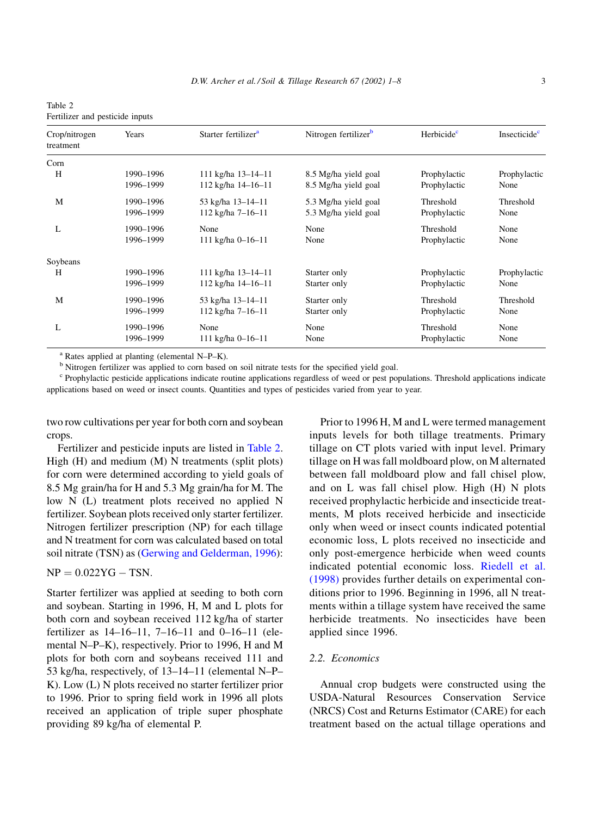| Table 2                         |  |  |
|---------------------------------|--|--|
| Fertilizer and pesticide inputs |  |  |

| Crop/nitrogen<br>treatment | Years     | Starter fertilizer <sup>a</sup> | Nitrogen fertilizer <sup>b</sup> | Herbicide <sup>c</sup> | Insecticide <sup>c</sup> |
|----------------------------|-----------|---------------------------------|----------------------------------|------------------------|--------------------------|
| Corn                       |           |                                 |                                  |                        |                          |
| H                          | 1990-1996 | 111 kg/ha 13-14-11              | 8.5 Mg/ha yield goal             | Prophylactic           | Prophylactic             |
|                            | 1996-1999 | 112 kg/ha 14-16-11              | 8.5 Mg/ha yield goal             | Prophylactic           | None                     |
| M                          | 1990-1996 | 53 kg/ha 13-14-11               | 5.3 Mg/ha yield goal             | Threshold              | Threshold                |
|                            | 1996-1999 | 112 kg/ha 7-16-11               | 5.3 Mg/ha yield goal             | Prophylactic           | None                     |
| L                          | 1990-1996 | None                            | None                             | Threshold              | None                     |
|                            | 1996-1999 | $111$ kg/ha 0-16-11             | None                             | Prophylactic           | None                     |
| Soybeans                   |           |                                 |                                  |                        |                          |
| H                          | 1990-1996 | 111 kg/ha 13-14-11              | Starter only                     | Prophylactic           | Prophylactic             |
|                            | 1996-1999 | 112 kg/ha 14-16-11              | Starter only                     | Prophylactic           | None                     |
| M                          | 1990-1996 | 53 kg/ha 13-14-11               | Starter only                     | Threshold              | Threshold                |
|                            | 1996-1999 | 112 kg/ha 7-16-11               | Starter only                     | Prophylactic           | None                     |
| L                          | 1990-1996 | None                            | None                             | Threshold              | None                     |
|                            | 1996-1999 | 111 kg/ha $0-16-11$             | None                             | Prophylactic           | None                     |

 $^{\rm a}$  Rates applied at planting (elemental N-P-K).

<sup>b</sup> Nitrogen fertilizer was applied to corn based on soil nitrate tests for the specified yield goal.

<sup>c</sup> Prophylactic pesticide applications indicate routine applications regardless of weed or pest populations. Threshold applications indicate applications based on weed or insect counts. Quantities and types of pesticides varied from year to year.

two row cultivations per year for both corn and soybean crops.

Fertilizer and pesticide inputs are listed in Table 2. High  $(H)$  and medium  $(M)$  N treatments (split plots) for corn were determined according to yield goals of 8.5 Mg grain/ha for H and 5.3 Mg grain/ha for M. The low N (L) treatment plots received no applied N fertilizer. Soybean plots received only starter fertilizer. Nitrogen fertilizer prescription (NP) for each tillage and N treatment for corn was calculated based on total soil nitrate (TSN) as (Gerwing and Gelderman, 1996):

## $NP = 0.022YG - TSN.$

Starter fertilizer was applied at seeding to both corn and soybean. Starting in 1996, H, M and L plots for both corn and soybean received 112 kg/ha of starter fertilizer as  $14-16-11$ ,  $7-16-11$  and  $0-16-11$  (elemental N-P-K), respectively. Prior to 1996, H and M plots for both corn and soybeans received 111 and 53 kg/ha, respectively, of 13-14-11 (elemental N-P-K). Low (L) N plots received no starter fertilizer prior to 1996. Prior to spring field work in 1996 all plots received an application of triple super phosphate providing 89 kg/ha of elemental P.

Prior to 1996 H, M and L were termed management inputs levels for both tillage treatments. Primary tillage on CT plots varied with input level. Primary tillage on H was fall moldboard plow, on M alternated between fall moldboard plow and fall chisel plow, and on L was fall chisel plow. High (H) N plots received prophylactic herbicide and insecticide treatments, M plots received herbicide and insecticide only when weed or insect counts indicated potential economic loss, L plots received no insecticide and only post-emergence herbicide when weed counts indicated potential economic loss. Riedell et al. (1998) provides further details on experimental conditions prior to 1996. Beginning in 1996, all N treatments within a tillage system have received the same herbicide treatments. No insecticides have been applied since 1996.

## 2.2. Economics

Annual crop budgets were constructed using the USDA-Natural Resources Conservation Service (NRCS) Cost and Returns Estimator (CARE) for each treatment based on the actual tillage operations and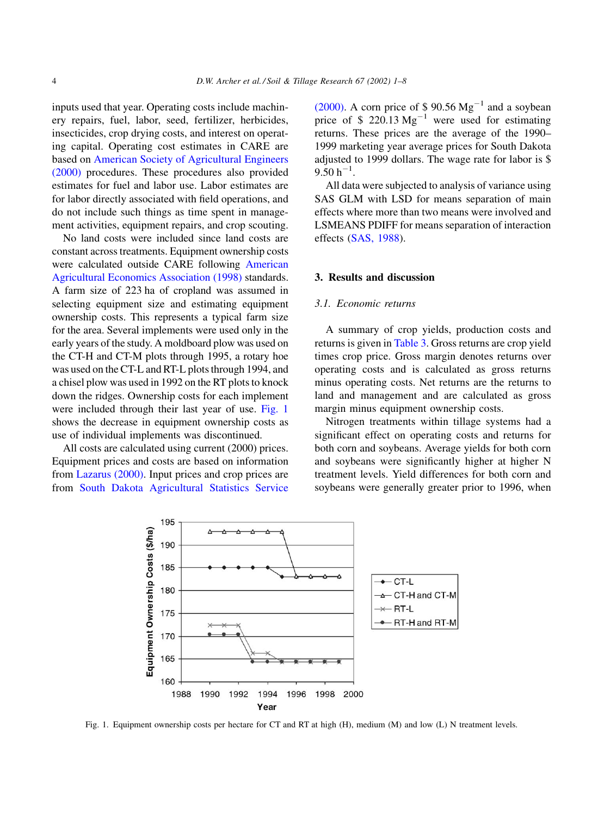inputs used that year. Operating costs include machinery repairs, fuel, labor, seed, fertilizer, herbicides, insecticides, crop drying costs, and interest on operating capital. Operating cost estimates in CARE are based on American Society of Agricultural Engineers  $(2000)$  procedures. These procedures also provided estimates for fuel and labor use. Labor estimates are for labor directly associated with field operations, and do not include such things as time spent in management activities, equipment repairs, and crop scouting.

No land costs were included since land costs are constant across treatments. Equipment ownership costs were calculated outside CARE following American Agricultural Economics Association (1998) standards. A farm size of 223 ha of cropland was assumed in selecting equipment size and estimating equipment ownership costs. This represents a typical farm size for the area. Several implements were used only in the early years of the study. A moldboard plow was used on the CT-H and CT-M plots through 1995, a rotary hoe was used on the CT-L and RT-L plots through 1994, and a chisel plow was used in 1992 on the RT plots to knock down the ridges. Ownership costs for each implement were included through their last year of use. Fig. 1 shows the decrease in equipment ownership costs as use of individual implements was discontinued.

All costs are calculated using current (2000) prices. Equipment prices and costs are based on information from Lazarus (2000). Input prices and crop prices are from South Dakota Agricultural Statistics Service (2000). A corn price of  $$90.56 \text{ Mg}^{-1}$  and a soybean price of  $$220.13 \text{ Mg}^{-1}$$  were used for estimating returns. These prices are the average of the 1990-1999 marketing year average prices for South Dakota adjusted to 1999 dollars. The wage rate for labor is \$  $9.50 h^{-1}$ .

All data were subjected to analysis of variance using SAS GLM with LSD for means separation of main effects where more than two means were involved and LSMEANS PDIFF for means separation of interaction effects (SAS, 1988).

## 3. Results and discussion

#### 3.1. Economic returns

A summary of crop yields, production costs and returns is given in Table 3. Gross returns are crop yield times crop price. Gross margin denotes returns over operating costs and is calculated as gross returns minus operating costs. Net returns are the returns to land and management and are calculated as gross margin minus equipment ownership costs.

Nitrogen treatments within tillage systems had a significant effect on operating costs and returns for both corn and soybeans. Average yields for both corn and soybeans were significantly higher at higher N treatment levels. Yield differences for both corn and soybeans were generally greater prior to 1996, when



Fig. 1. Equipment ownership costs per hectare for CT and RT at high (H), medium (M) and low (L) N treatment levels.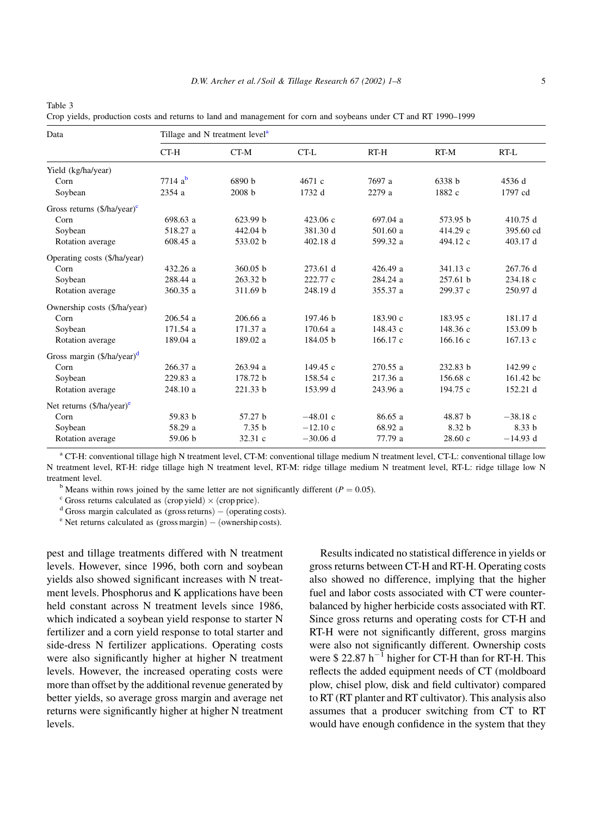<span id="page-4-0"></span>Table 3

Data

Crop yields, production costs and returns to land and management for corn and soybeans under CT and RT 1990–1999

Tillage and N treatment level<sup>a</sup> CT-H CT-M  $CT-L$  $RT-H$  $RT-M$ RT-L Yield (kg/ha/year)  $7714a^b$ Corn 6890 b 4671 c 7697 a 6338 b 4536 d Soybean 2354 a 2008 b 1732 d 2279 a 1882 c 1797 cd Gross returns  $(\frac{5}{h}a/\gamma e^{ac})^c$ 623.99 h  $423.06c$ 697.04 a 573.95 h 410.75 d Corn 698.63 a Soybean 518.27 a 442.04 b 381.30 d 501.60 a 414.29 c 395.60 cd Rotation average 608.45 a 533.02 b 402.18 d 599.32 a 494.12 c 403.17 d Operating costs (\$/ha/year) Corn 432.26 a 360.05 b 273.61 d 426.49 a 341.13 c 267.76 d 284.24 a Soybean 288.44 a 263.32 b 222.77 c 257.61 b 234.18 c Rotation average 360.35 a 311.69 b 248.19 d 355.37 a 299.37 c 250.97 d Ownership costs (\$/ha/year) 206.54 a 206.66 a 197.46 h 183.90 c 183.95 c 181.17 d  $Corn$ 171.54 a 171.37 a 170.64 a 148.43 c 148.36 c 153.09 b Soybean Rotation average 189.04 a 189.02 a 184.05 b 166.17 c 166.16 c 167.13 c Gross margin  $(\frac{5}{h}a/\frac{1}{2}a)^d$ 266.37 a 263.94 a 149.45 c 270.55 a 232.83 b 142.99 c Corn Soybean 229.83 a 178.72 b 158.54 c 217.36 a 156.68 c 161.42 bc Rotation average 248.10 a 221.33 b 153.99 d 243.96 a 194.75 c 152.21 d Net returns  $(\frac{5}{h}a\)/\mathrm{year}$ 57.27 b  $-48.01$  c 86.65 a 48.87 b  $-38.18$  c  $Corn$ 59.83 h 58.29 a  $7.35<sub>b</sub>$  $-12.10c$ 68.92 a 8.32 b 8.33 b Soybean 59.06 b 32.31 c  $-30.06$  d 77.79 a  $28.60c$  $-14.93$  d Rotation average

a CT-H: conventional tillage high N treatment level, CT-M: conventional tillage medium N treatment level, CT-L: conventional tillage low N treatment level, RT-H: ridge tillage high N treatment level, RT-M: ridge tillage medium N treatment level, RT-L: ridge tillage low N treatment level.

<sup>b</sup> Means within rows joined by the same letter are not significantly different ( $P = 0.05$ ).

 $\textdegree$  Gross returns calculated as (crop yield)  $\times$  (crop price).

 $d$  Gross margin calculated as (gross returns) - (operating costs).

 $\degree$  Net returns calculated as (gross margin) – (ownership costs).

pest and tillage treatments differed with N treatment levels. However, since 1996, both corn and soybean yields also showed significant increases with N treatment levels. Phosphorus and K applications have been held constant across N treatment levels since 1986, which indicated a soybean yield response to starter N fertilizer and a corn yield response to total starter and side-dress N fertilizer applications. Operating costs were also significantly higher at higher N treatment levels. However, the increased operating costs were more than offset by the additional revenue generated by better yields, so average gross margin and average net returns were significantly higher at higher N treatment levels.

Results indicated no statistical difference in yields or gross returns between CT-H and RT-H. Operating costs also showed no difference, implying that the higher fuel and labor costs associated with CT were counterbalanced by higher herbicide costs associated with RT. Since gross returns and operating costs for CT-H and RT-H were not significantly different, gross margins were also not significantly different. Ownership costs were  $$22.87 h^{-1}$  higher for CT-H than for RT-H. This reflects the added equipment needs of CT (moldboard plow, chisel plow, disk and field cultivator) compared to RT (RT planter and RT cultivator). This analysis also assumes that a producer switching from CT to RT would have enough confidence in the system that they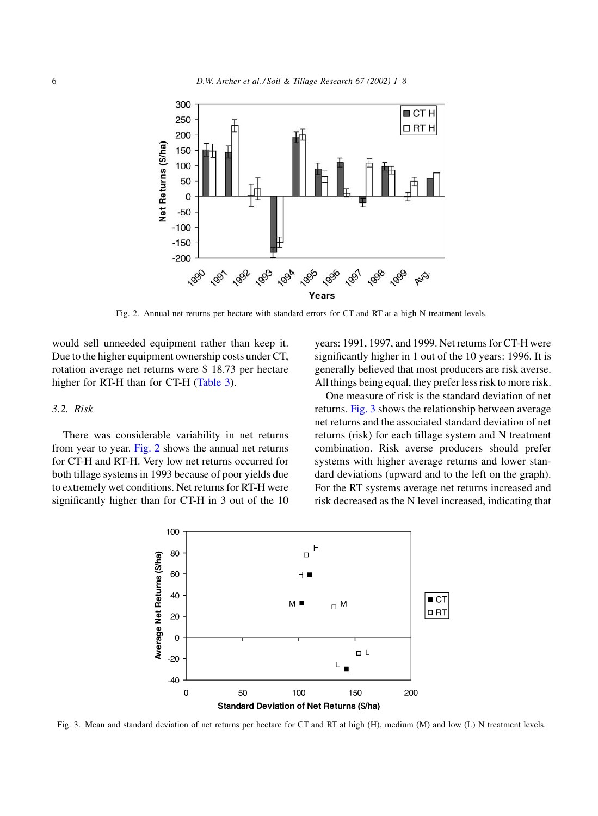

Fig. 2. Annual net returns per hectare with standard errors for CT and RT at a high N treatment levels.

would sell unneeded equipment rather than keep it. Due to the higher equipment ownership costs under CT, rotation average net returns were \$18.73 per hectare higher for RT-H than for CT-H (Table 3).

### $3.2.$  Risk

There was considerable variability in net returns from year to year. Fig. 2 shows the annual net returns for CT-H and RT-H. Very low net returns occurred for both tillage systems in 1993 because of poor yields due to extremely wet conditions. Net returns for RT-H were significantly higher than for CT-H in 3 out of the 10 years: 1991, 1997, and 1999. Net returns for CT-H were significantly higher in 1 out of the 10 years: 1996. It is generally believed that most producers are risk averse. All things being equal, they prefer less risk to more risk.

One measure of risk is the standard deviation of net returns. Fig. 3 shows the relationship between average net returns and the associated standard deviation of net returns (risk) for each tillage system and N treatment combination. Risk averse producers should prefer systems with higher average returns and lower standard deviations (upward and to the left on the graph). For the RT systems average net returns increased and risk decreased as the N level increased, indicating that



Fig. 3. Mean and standard deviation of net returns per hectare for CT and RT at high (H), medium (M) and low (L) N treatment levels.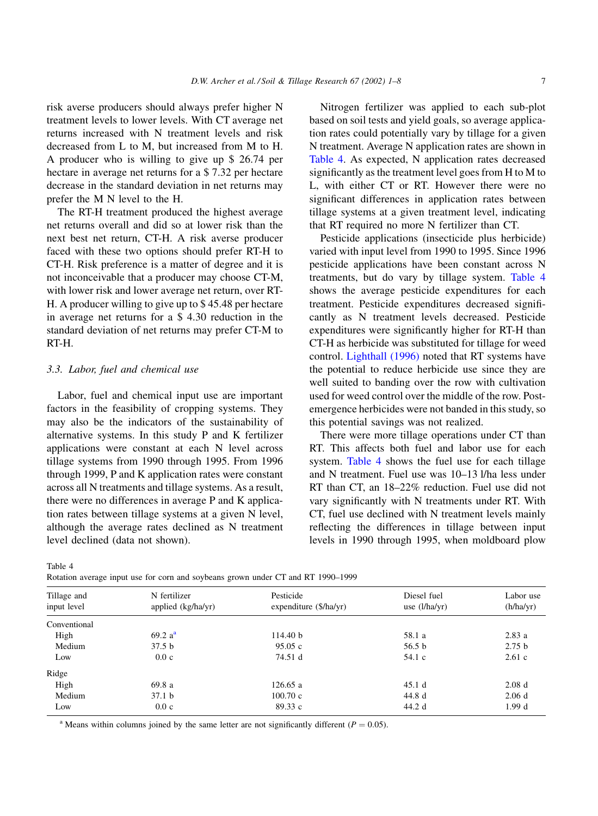<span id="page-6-0"></span>risk averse producers should always prefer higher N treatment levels to lower levels. With CT average net returns increased with N treatment levels and risk decreased from L to M, but increased from M to H. A producer who is willing to give up \$ 26.74 per hectare in average net returns for a \$7.32 per hectare decrease in the standard deviation in net returns may prefer the M N level to the H.

The RT-H treatment produced the highest average net returns overall and did so at lower risk than the next best net return, CT-H. A risk averse producer faced with these two options should prefer RT-H to CT-H. Risk preference is a matter of degree and it is not inconceivable that a producer may choose CT-M, with lower risk and lower average net return, over RT-H. A producer willing to give up to \$45.48 per hectare in average net returns for a \$4.30 reduction in the standard deviation of net returns may prefer CT-M to RT-H.

#### 3.3. Labor, fuel and chemical use

Labor, fuel and chemical input use are important factors in the feasibility of cropping systems. They may also be the indicators of the sustainability of alternative systems. In this study P and K fertilizer applications were constant at each N level across tillage systems from 1990 through 1995. From 1996 through 1999, P and K application rates were constant across all N treatments and tillage systems. As a result, there were no differences in average P and K application rates between tillage systems at a given N level, although the average rates declined as N treatment level declined (data not shown).

Nitrogen fertilizer was applied to each sub-plot based on soil tests and yield goals, so average application rates could potentially vary by tillage for a given N treatment. Average N application rates are shown in Table 4. As expected, N application rates decreased significantly as the treatment level goes from H to M to L, with either CT or RT. However there were no significant differences in application rates between tillage systems at a given treatment level, indicating that RT required no more N fertilizer than CT.

Pesticide applications (insecticide plus herbicide) varied with input level from 1990 to 1995. Since 1996 pesticide applications have been constant across N treatments, but do vary by tillage system. Table 4 shows the average pesticide expenditures for each treatment. Pesticide expenditures decreased significantly as N treatment levels decreased. Pesticide expenditures were significantly higher for RT-H than CT-H as herbicide was substituted for tillage for weed control. Lighthall (1996) noted that RT systems have the potential to reduce herbicide use since they are well suited to banding over the row with cultivation used for weed control over the middle of the row. Postemergence herbicides were not banded in this study, so this potential savings was not realized.

There were more tillage operations under CT than RT. This affects both fuel and labor use for each system. Table 4 shows the fuel use for each tillage and N treatment. Fuel use was 10-13 l/ha less under RT than CT, an 18-22% reduction. Fuel use did not vary significantly with N treatments under RT. With CT, fuel use declined with N treatment levels mainly reflecting the differences in tillage between input levels in 1990 through 1995, when moldboard plow

| Tillage and<br>input level | N fertilizer<br>applied (kg/ha/yr) | Pesticide<br>expenditure (\$/ha/yr) | Diesel fuel<br>use $(l/ha/yr)$ | Labor use<br>(h/ha/yr) |
|----------------------------|------------------------------------|-------------------------------------|--------------------------------|------------------------|
| Conventional               |                                    |                                     |                                |                        |
| High                       | 69.2 a <sup>a</sup>                | 114.40 b                            | 58.1 a                         | 2.83a                  |
| Medium                     | 37.5 <sub>b</sub>                  | 95.05c                              | 56.5 <sub>b</sub>              | 2.75 <sub>b</sub>      |
| Low                        | 0.0c                               | 74.51 d                             | 54.1 c                         | 2.61c                  |
| Ridge                      |                                    |                                     |                                |                        |
| High                       | 69.8a                              | 126.65a                             | 45.1d                          | 2.08 <sub>d</sub>      |
| Medium                     | 37.1 <sub>b</sub>                  | 100.70c                             | 44.8 d                         | 2.06d                  |
| Low                        | 0.0c                               | 89.33 c                             | 44.2 d                         | 1.99d                  |

Table 4

Rotation average input use for corn and soybeans grown under CT and RT 1990–1999

<sup>a</sup> Means within columns joined by the same letter are not significantly different ( $P = 0.05$ ).